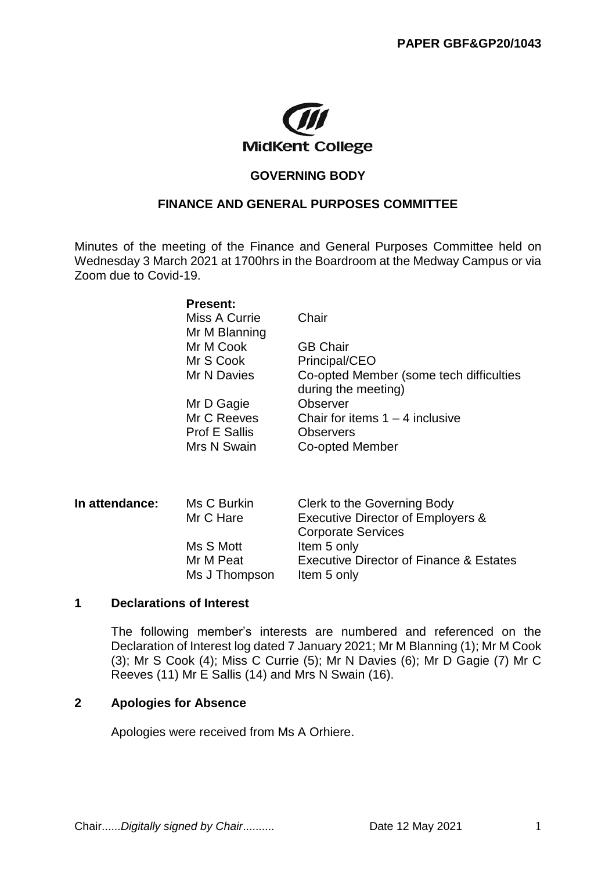

## **GOVERNING BODY**

#### **FINANCE AND GENERAL PURPOSES COMMITTEE**

Minutes of the meeting of the Finance and General Purposes Committee held on Wednesday 3 March 2021 at 1700hrs in the Boardroom at the Medway Campus or via Zoom due to Covid-19.

| <b>Present:</b>      |                                         |
|----------------------|-----------------------------------------|
| Miss A Currie        | Chair                                   |
| Mr M Blanning        |                                         |
| Mr M Cook            | <b>GB Chair</b>                         |
| Mr S Cook            | Principal/CEO                           |
| Mr N Davies          | Co-opted Member (some tech difficulties |
|                      | during the meeting)                     |
| Mr D Gagie           | Observer                                |
| Mr C Reeves          | Chair for items $1 - 4$ inclusive       |
| <b>Prof E Sallis</b> | <b>Observers</b>                        |
| Mrs N Swain          | Co-opted Member                         |
|                      |                                         |

| In attendance: | Ms C Burkin   | Clerk to the Governing Body                        |
|----------------|---------------|----------------------------------------------------|
|                | Mr C Hare     | Executive Director of Employers &                  |
|                |               | <b>Corporate Services</b>                          |
|                | Ms S Mott     | Item 5 only                                        |
|                | Mr M Peat     | <b>Executive Director of Finance &amp; Estates</b> |
|                | Ms J Thompson | Item 5 only                                        |

### **1 Declarations of Interest**

The following member's interests are numbered and referenced on the Declaration of Interest log dated 7 January 2021; Mr M Blanning (1); Mr M Cook (3); Mr S Cook (4); Miss C Currie (5); Mr N Davies (6); Mr D Gagie (7) Mr C Reeves (11) Mr E Sallis (14) and Mrs N Swain (16).

#### **2 Apologies for Absence**

Apologies were received from Ms A Orhiere.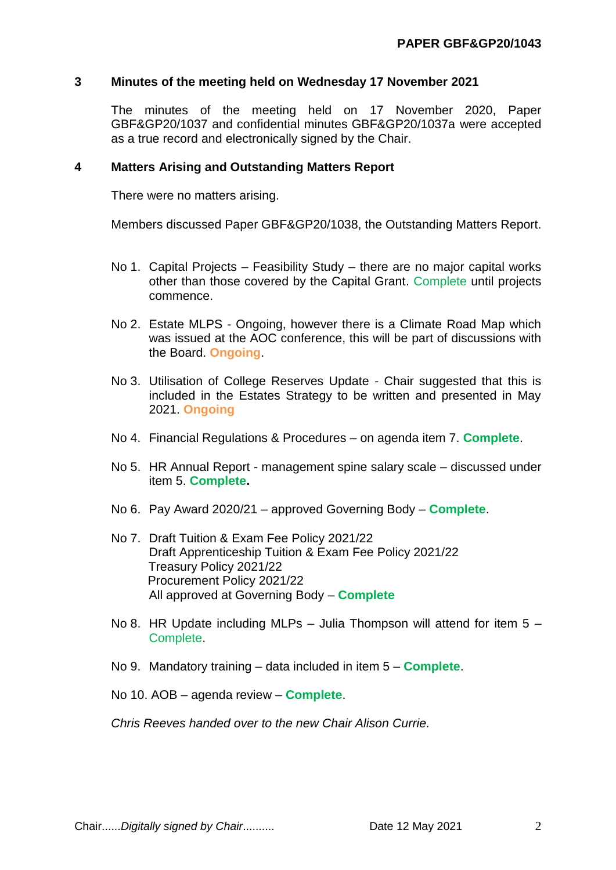#### **3 Minutes of the meeting held on Wednesday 17 November 2021**

The minutes of the meeting held on 17 November 2020, Paper GBF&GP20/1037 and confidential minutes GBF&GP20/1037a were accepted as a true record and electronically signed by the Chair.

#### **4 Matters Arising and Outstanding Matters Report**

There were no matters arising.

Members discussed Paper GBF&GP20/1038, the Outstanding Matters Report.

- No 1. Capital Projects Feasibility Study there are no major capital works other than those covered by the Capital Grant. Complete until projects commence.
- No 2. Estate MLPS Ongoing, however there is a Climate Road Map which was issued at the AOC conference, this will be part of discussions with the Board. **Ongoing**.
- No 3. Utilisation of College Reserves Update Chair suggested that this is included in the Estates Strategy to be written and presented in May 2021. **Ongoing**
- No 4. Financial Regulations & Procedures on agenda item 7. **Complete**.
- No 5. HR Annual Report management spine salary scale discussed under item 5. **Complete.**
- No 6. Pay Award 2020/21 approved Governing Body **Complete**.
- No 7. Draft Tuition & Exam Fee Policy 2021/22 Draft Apprenticeship Tuition & Exam Fee Policy 2021/22 Treasury Policy 2021/22 Procurement Policy 2021/22 All approved at Governing Body – **Complete**
- No 8. HR Update including MLPs Julia Thompson will attend for item 5 Complete.
- No 9. Mandatory training data included in item 5 **Complete**.
- No 10. AOB agenda review **Complete**.

*Chris Reeves handed over to the new Chair Alison Currie.*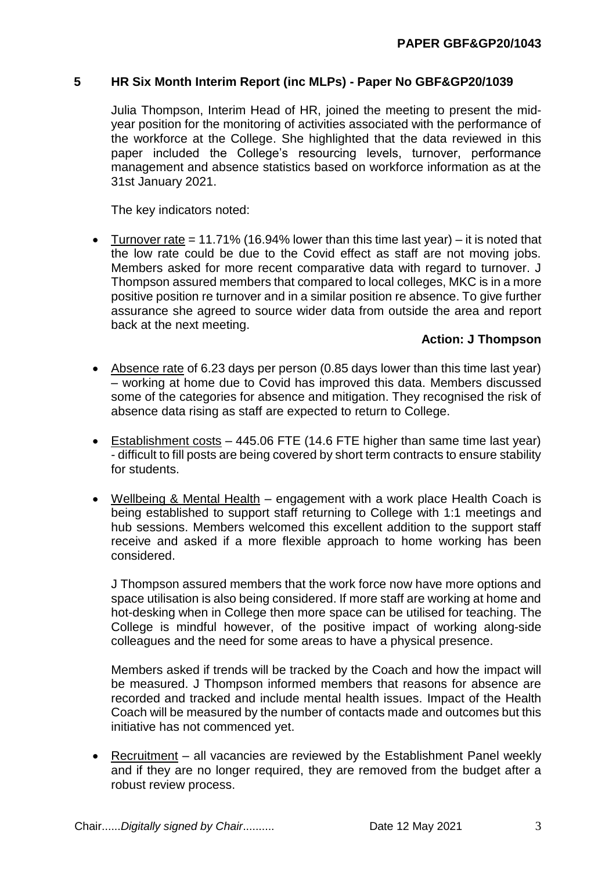# **5 HR Six Month Interim Report (inc MLPs) - Paper No GBF&GP20/1039**

Julia Thompson, Interim Head of HR, joined the meeting to present the midyear position for the monitoring of activities associated with the performance of the workforce at the College. She highlighted that the data reviewed in this paper included the College's resourcing levels, turnover, performance management and absence statistics based on workforce information as at the 31st January 2021.

The key indicators noted:

Turnover rate  $= 11.71\%$  (16.94% lower than this time last year) – it is noted that the low rate could be due to the Covid effect as staff are not moving jobs. Members asked for more recent comparative data with regard to turnover. J Thompson assured members that compared to local colleges, MKC is in a more positive position re turnover and in a similar position re absence. To give further assurance she agreed to source wider data from outside the area and report back at the next meeting.

#### **Action: J Thompson**

- Absence rate of 6.23 days per person (0.85 days lower than this time last year) – working at home due to Covid has improved this data. Members discussed some of the categories for absence and mitigation. They recognised the risk of absence data rising as staff are expected to return to College.
- Establishment costs 445.06 FTE (14.6 FTE higher than same time last year) - difficult to fill posts are being covered by short term contracts to ensure stability for students.
- Wellbeing & Mental Health engagement with a work place Health Coach is being established to support staff returning to College with 1:1 meetings and hub sessions. Members welcomed this excellent addition to the support staff receive and asked if a more flexible approach to home working has been considered.

J Thompson assured members that the work force now have more options and space utilisation is also being considered. If more staff are working at home and hot-desking when in College then more space can be utilised for teaching. The College is mindful however, of the positive impact of working along-side colleagues and the need for some areas to have a physical presence.

Members asked if trends will be tracked by the Coach and how the impact will be measured. J Thompson informed members that reasons for absence are recorded and tracked and include mental health issues. Impact of the Health Coach will be measured by the number of contacts made and outcomes but this initiative has not commenced yet.

• Recruitment – all vacancies are reviewed by the Establishment Panel weekly and if they are no longer required, they are removed from the budget after a robust review process.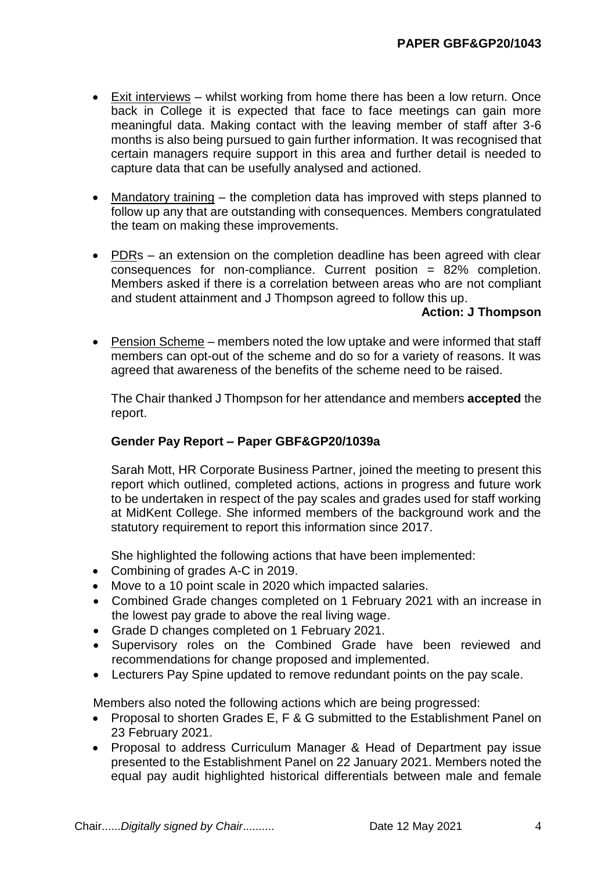- Exit interviews whilst working from home there has been a low return. Once back in College it is expected that face to face meetings can gain more meaningful data. Making contact with the leaving member of staff after 3-6 months is also being pursued to gain further information. It was recognised that certain managers require support in this area and further detail is needed to capture data that can be usefully analysed and actioned.
- Mandatory training the completion data has improved with steps planned to follow up any that are outstanding with consequences. Members congratulated the team on making these improvements.
- PDRs an extension on the completion deadline has been agreed with clear consequences for non-compliance. Current position  $= 82\%$  completion. Members asked if there is a correlation between areas who are not compliant and student attainment and J Thompson agreed to follow this up.

# **Action: J Thompson**

• Pension Scheme – members noted the low uptake and were informed that staff members can opt-out of the scheme and do so for a variety of reasons. It was agreed that awareness of the benefits of the scheme need to be raised.

The Chair thanked J Thompson for her attendance and members **accepted** the report.

# **Gender Pay Report – Paper GBF&GP20/1039a**

Sarah Mott, HR Corporate Business Partner, joined the meeting to present this report which outlined, completed actions, actions in progress and future work to be undertaken in respect of the pay scales and grades used for staff working at MidKent College. She informed members of the background work and the statutory requirement to report this information since 2017.

She highlighted the following actions that have been implemented:

- Combining of grades A-C in 2019.
- Move to a 10 point scale in 2020 which impacted salaries.
- Combined Grade changes completed on 1 February 2021 with an increase in the lowest pay grade to above the real living wage.
- Grade D changes completed on 1 February 2021.
- Supervisory roles on the Combined Grade have been reviewed and recommendations for change proposed and implemented.
- Lecturers Pay Spine updated to remove redundant points on the pay scale.

Members also noted the following actions which are being progressed:

- Proposal to shorten Grades E, F & G submitted to the Establishment Panel on 23 February 2021.
- Proposal to address Curriculum Manager & Head of Department pay issue presented to the Establishment Panel on 22 January 2021. Members noted the equal pay audit highlighted historical differentials between male and female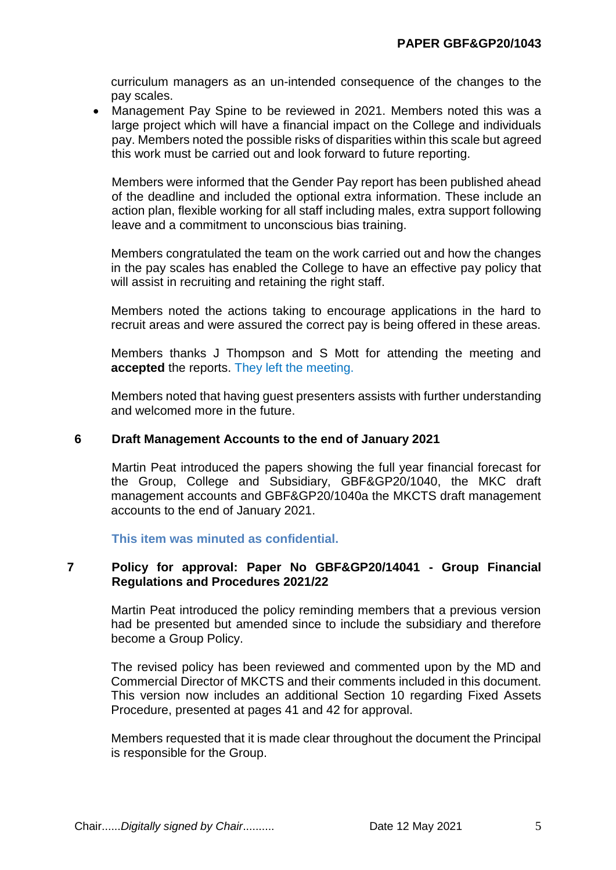curriculum managers as an un-intended consequence of the changes to the pay scales.

 Management Pay Spine to be reviewed in 2021. Members noted this was a large project which will have a financial impact on the College and individuals pay. Members noted the possible risks of disparities within this scale but agreed this work must be carried out and look forward to future reporting.

Members were informed that the Gender Pay report has been published ahead of the deadline and included the optional extra information. These include an action plan, flexible working for all staff including males, extra support following leave and a commitment to unconscious bias training.

Members congratulated the team on the work carried out and how the changes in the pay scales has enabled the College to have an effective pay policy that will assist in recruiting and retaining the right staff.

Members noted the actions taking to encourage applications in the hard to recruit areas and were assured the correct pay is being offered in these areas.

Members thanks J Thompson and S Mott for attending the meeting and **accepted** the reports. They left the meeting.

Members noted that having guest presenters assists with further understanding and welcomed more in the future.

### **6 Draft Management Accounts to the end of January 2021**

Martin Peat introduced the papers showing the full year financial forecast for the Group, College and Subsidiary, GBF&GP20/1040, the MKC draft management accounts and GBF&GP20/1040a the MKCTS draft management accounts to the end of January 2021.

**This item was minuted as confidential.**

## **7 Policy for approval: Paper No GBF&GP20/14041 - Group Financial Regulations and Procedures 2021/22**

Martin Peat introduced the policy reminding members that a previous version had be presented but amended since to include the subsidiary and therefore become a Group Policy.

The revised policy has been reviewed and commented upon by the MD and Commercial Director of MKCTS and their comments included in this document. This version now includes an additional Section 10 regarding Fixed Assets Procedure, presented at pages 41 and 42 for approval.

Members requested that it is made clear throughout the document the Principal is responsible for the Group.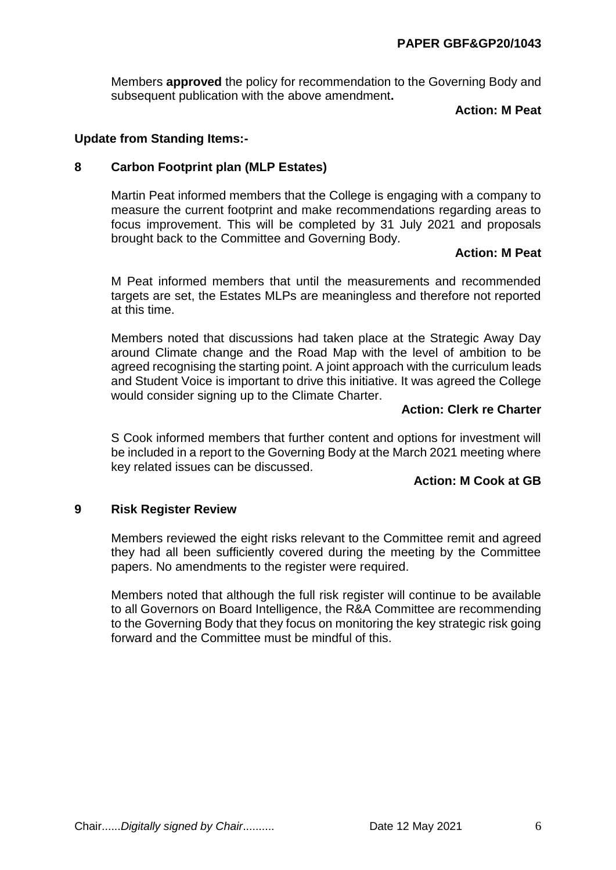Members **approved** the policy for recommendation to the Governing Body and subsequent publication with the above amendment**.**

**Action: M Peat**

## **Update from Standing Items:-**

# **8 Carbon Footprint plan (MLP Estates)**

Martin Peat informed members that the College is engaging with a company to measure the current footprint and make recommendations regarding areas to focus improvement. This will be completed by 31 July 2021 and proposals brought back to the Committee and Governing Body.

#### **Action: M Peat**

M Peat informed members that until the measurements and recommended targets are set, the Estates MLPs are meaningless and therefore not reported at this time.

Members noted that discussions had taken place at the Strategic Away Day around Climate change and the Road Map with the level of ambition to be agreed recognising the starting point. A joint approach with the curriculum leads and Student Voice is important to drive this initiative. It was agreed the College would consider signing up to the Climate Charter.

## **Action: Clerk re Charter**

S Cook informed members that further content and options for investment will be included in a report to the Governing Body at the March 2021 meeting where key related issues can be discussed.

# **Action: M Cook at GB**

## **9 Risk Register Review**

Members reviewed the eight risks relevant to the Committee remit and agreed they had all been sufficiently covered during the meeting by the Committee papers. No amendments to the register were required.

Members noted that although the full risk register will continue to be available to all Governors on Board Intelligence, the R&A Committee are recommending to the Governing Body that they focus on monitoring the key strategic risk going forward and the Committee must be mindful of this.